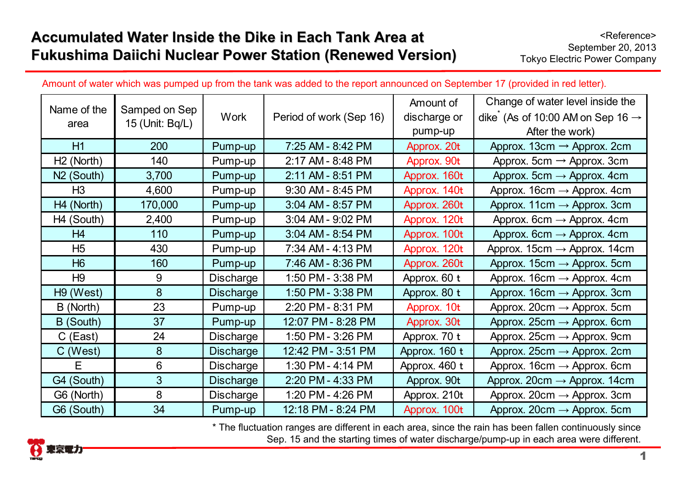## Accumulated Water Inside the Dike in Each Tank Area at **Fukushima Daiichi Nuclear Power Station (Renewed Version) Fukushima Daiichi Nuclear Power Station (Renewed Version)**

|  | Amount of water which was pumped up from the tank was added to the report announced on September 17 (provided in red letter). |  |
|--|-------------------------------------------------------------------------------------------------------------------------------|--|
|--|-------------------------------------------------------------------------------------------------------------------------------|--|

| Name of the            |                                  |                  |                         | Amount of     | Change of water level inside the             |
|------------------------|----------------------------------|------------------|-------------------------|---------------|----------------------------------------------|
| area                   | Samped on Sep<br>15 (Unit: Bq/L) | <b>Work</b>      | Period of work (Sep 16) | discharge or  | dike (As of 10:00 AM on Sep 16 $\rightarrow$ |
|                        |                                  |                  |                         | pump-up       | After the work)                              |
| H1                     | 200                              | Pump-up          | 7:25 AM - 8:42 PM       | Approx. 20t   | Approx. 13cm $\rightarrow$ Approx. 2cm       |
| H <sub>2</sub> (North) | 140                              | Pump-up          | 2:17 AM - 8:48 PM       | Approx. 90t   | Approx. 5cm $\rightarrow$ Approx. 3cm        |
| N <sub>2</sub> (South) | 3,700                            | Pump-up          | 2:11 AM - 8:51 PM       | Approx. 160t  | Approx. 5cm $\rightarrow$ Approx. 4cm        |
| H <sub>3</sub>         | 4,600                            | Pump-up          | 9:30 AM - 8:45 PM       | Approx. 140t  | Approx. $16cm \rightarrow$ Approx. $4cm$     |
| H4 (North)             | 170,000                          | Pump-up          | 3:04 AM - 8:57 PM       | Approx. 260t  | Approx. 11cm $\rightarrow$ Approx. 3cm       |
| H <sub>4</sub> (South) | 2,400                            | Pump-up          | 3:04 AM - 9:02 PM       | Approx. 120t  | Approx. 6cm $\rightarrow$ Approx. 4cm        |
| H4                     | 110                              | Pump-up          | 3:04 AM - 8:54 PM       | Approx. 100t  | Approx. 6cm $\rightarrow$ Approx. 4cm        |
| H <sub>5</sub>         | 430                              | Pump-up          | 7:34 AM - 4:13 PM       | Approx. 120t  | Approx. 15cm $\rightarrow$ Approx. 14cm      |
| H <sub>6</sub>         | 160                              | Pump-up          | 7:46 AM - 8:36 PM       | Approx. 260t  | Approx. 15cm $\rightarrow$ Approx. 5cm       |
| H <sub>9</sub>         | 9                                | Discharge        | 1:50 PM - 3:38 PM       | Approx. 60 t  | Approx. $16cm \rightarrow$ Approx. $4cm$     |
| H <sub>9</sub> (West)  | 8                                | <b>Discharge</b> | 1:50 PM - 3:38 PM       | Approx. 80 t  | Approx. $16cm \rightarrow$ Approx. 3cm       |
| B (North)              | 23                               | Pump-up          | 2:20 PM - 8:31 PM       | Approx. 10t   | Approx. 20cm $\rightarrow$ Approx. 5cm       |
| B (South)              | 37                               | Pump-up          | 12:07 PM - 8:28 PM      | Approx. 30t   | Approx. 25cm $\rightarrow$ Approx. 6cm       |
| $C$ (East)             | 24                               | Discharge        | 1:50 PM - 3:26 PM       | Approx. 70 t  | Approx. 25cm $\rightarrow$ Approx. 9cm       |
| $C$ (West)             | 8                                | <b>Discharge</b> | 12:42 PM - 3:51 PM      | Approx. 160 t | Approx. 25cm $\rightarrow$ Approx. 2cm       |
| E                      | 6                                | <b>Discharge</b> | 1:30 PM - 4:14 PM       | Approx. 460 t | Approx. 16cm $\rightarrow$ Approx. 6cm       |
| G4 (South)             | 3                                | <b>Discharge</b> | 2:20 PM - 4:33 PM       | Approx. 90t   | Approx. 20cm $\rightarrow$ Approx. 14cm      |
| G6 (North)             | 8                                | Discharge        | 1:20 PM - 4:26 PM       | Approx. 210t  | Approx. 20cm $\rightarrow$ Approx. 3cm       |
| G6 (South)             | 34                               | Pump-up          | 12:18 PM - 8:24 PM      | Approx. 100t  | Approx. $20cm \rightarrow$ Approx. 5cm       |

\* The fluctuation ranges are different in each area, since the rain has been fallen continuously since Sep. 15 and the starting times of water discharge/pump-up in each area were different.